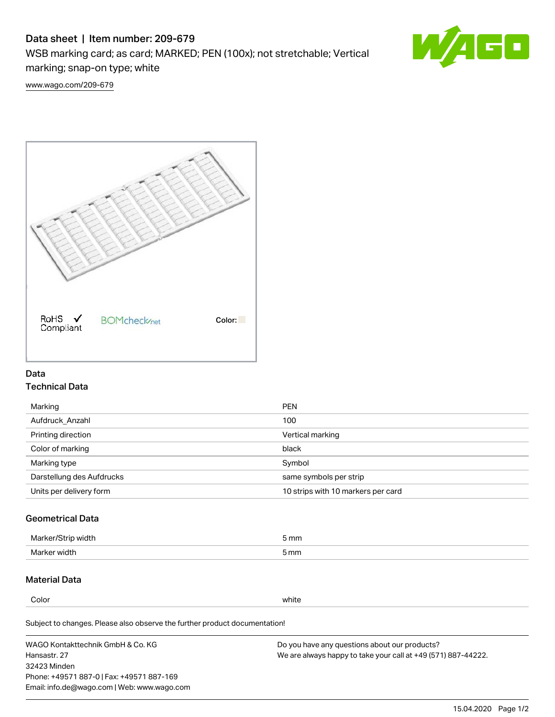# Data sheet | Item number: 209-679

WSB marking card; as card; MARKED; PEN (100x); not stretchable; Vertical marking; snap-on type; white



[www.wago.com/209-679](http://www.wago.com/209-679)



### Data Technical Data

| Marking                   | <b>PEN</b>                         |
|---------------------------|------------------------------------|
| Aufdruck Anzahl           | 100                                |
| Printing direction        | Vertical marking                   |
| Color of marking          | black                              |
| Marking type              | Symbol                             |
| Darstellung des Aufdrucks | same symbols per strip             |
| Units per delivery form   | 10 strips with 10 markers per card |

## Geometrical Data

| width        | i mm |
|--------------|------|
| Marker/      | -    |
| Marker width | 5 mm |

### Material Data

Color white

Subject to changes. Please also observe the further product documentation!

WAGO Kontakttechnik GmbH & Co. KG Hansastr. 27 32423 Minden Phone: +49571 887-0 | Fax: +49571 887-169 Email: info.de@wago.com | Web: www.wago.com Do you have any questions about our products? We are always happy to take your call at +49 (571) 887-44222.